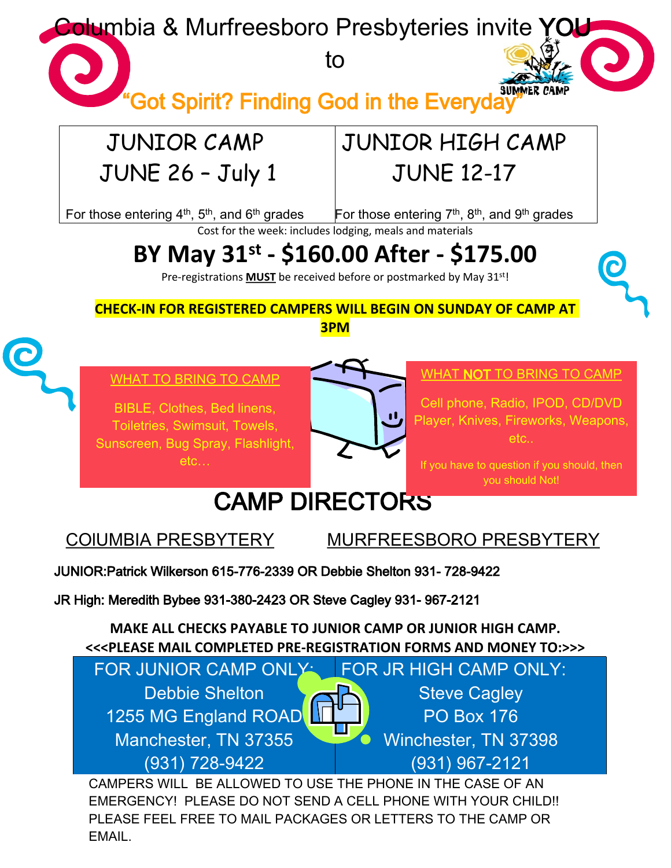**Colum**bia & Murfreesboro Presbyteries invite YOU

to



"Got Spirit? Finding God in the Everyday

### JUNIOR CAMP JUNE 26 – July 1

## JUNIOR HIGH CAMP JUNE 12-17

For those entering  $4^{\text{th}}$ ,  $5^{\text{th}}$ , and  $6^{\text{th}}$  grades

For those entering  $7<sup>th</sup>$ ,  $8<sup>th</sup>$ , and  $9<sup>th</sup>$  grades

Cost for the week: includes lodging, meals and materials

# **BY May 31 st - \$160.00 After - \$175.00**

Pre-registrations **MUST** be received before or postmarked by May 31<sup>st!</sup>

**CHECK-IN FOR REGISTERED CAMPERS WILL BEGIN ON SUNDAY OF CAMP AT**

**3PM**



WHAT TO BRING TO CAMP

BIBLE, Clothes, Bed linens, Toiletries, Swimsuit, Towels, Sunscreen, Bug Spray, Flashlight, etc…



#### WHAT NOT TO BRING TO CAMP

Cell phone, Radio, IPOD, CD/DVD Player, Knives, Fireworks, Weapons, etc..

If you have to question if you should, then you should Not!

## CAMP DIRECTORS

COlUMBIA PRESBYTERY MURFREESBORO PRESBYTERY

JUNIOR:Patrick Wilkerson 615-776-2339 OR Debbie Shelton 931- 728-9422

JR High: Meredith Bybee 931-380-2423 OR Steve Cagley 931- 967-2121

**MAKE ALL CHECKS PAYABLE TO JUNIOR CAMP OR JUNIOR HIGH CAMP. <<<PLEASE MAIL COMPLETED PRE-REGISTRATION FORMS AND MONEY TO:>>>**

FOR JUNIOR CAMP ONLY: Debbie Shelton 1255 MG England ROAD Manchester, TN 37355 (931) 728-9422 FOR JR HIGH CAMP ONLY: Steve Cagley PO Box 176 Winchester, TN 37398 (931) 967-2121

CAMPERS WILL BE ALLOWED TO USE THE PHONE IN THE CASE OF AN EMERGENCY! PLEASE DO NOT SEND A CELL PHONE WITH YOUR CHILD!! PLEASE FEEL FREE TO MAIL PACKAGES OR LETTERS TO THE CAMP OR EMAIL.